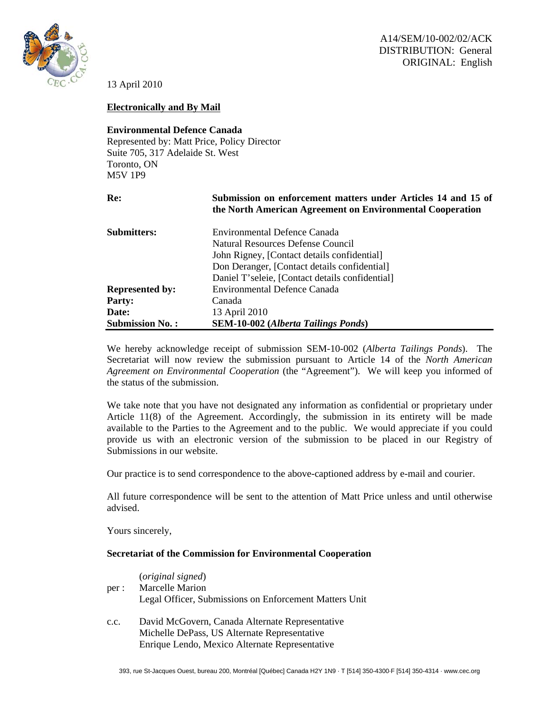

13 April 2010

## **Electronically and By Mail**

## **Environmental Defence Canada**

Represented by: Matt Price, Policy Director Suite 705, 317 Adelaide St. West Toronto, ON M5V 1P9

**Re: Submission on enforcement matters under Articles 14 and 15 of the North American Agreement on Environmental Cooperation** 

| <b>Submitters:</b>     | <b>Environmental Defence Canada</b>             |
|------------------------|-------------------------------------------------|
|                        | Natural Resources Defense Council               |
|                        | John Rigney, [Contact details confidential]     |
|                        | Don Deranger, [Contact details confidential]    |
|                        | Daniel T'seleie, [Contact details confidential] |
| <b>Represented by:</b> | <b>Environmental Defence Canada</b>             |
| <b>Party:</b>          | Canada                                          |
| Date:                  | 13 April 2010                                   |
| <b>Submission No.:</b> | <b>SEM-10-002</b> (Alberta Tailings Ponds)      |

We hereby acknowledge receipt of submission SEM-10-002 (*Alberta Tailings Ponds*). The Secretariat will now review the submission pursuant to Article 14 of the *North American Agreement on Environmental Cooperation* (the "Agreement"). We will keep you informed of the status of the submission.

We take note that you have not designated any information as confidential or proprietary under Article 11(8) of the Agreement. Accordingly, the submission in its entirety will be made available to the Parties to the Agreement and to the public. We would appreciate if you could provide us with an electronic version of the submission to be placed in our Registry of Submissions in our website.

Our practice is to send correspondence to the above-captioned address by e-mail and courier.

All future correspondence will be sent to the attention of Matt Price unless and until otherwise advised.

Yours sincerely,

## **Secretariat of the Commission for Environmental Cooperation**

| per : | ( <i>original signed</i> )<br>Marcelle Marion<br>Legal Officer, Submissions on Enforcement Matters Unit                                           |
|-------|---------------------------------------------------------------------------------------------------------------------------------------------------|
| c.c.  | David McGovern, Canada Alternate Representative<br>Michelle DePass, US Alternate Representative<br>Enrique Lendo, Mexico Alternate Representative |